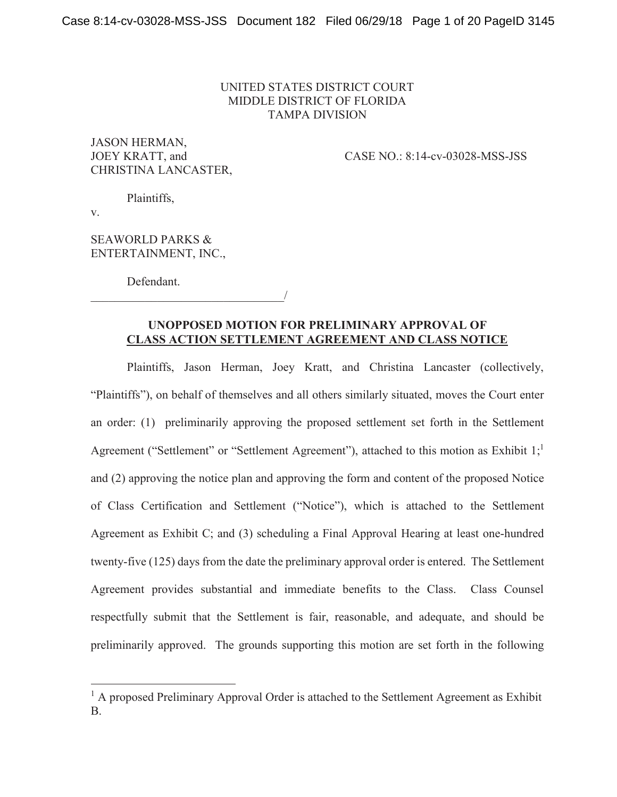## UNITED STATES DISTRICT COURT MIDDLE DISTRICT OF FLORIDA TAMPA DIVISION

JASON HERMAN, CHRISTINA LANCASTER,

JOEY KRATT, and CASE NO.: 8:14-cv-03028-MSS-JSS

Plaintiffs,

v.

 $\overline{a}$ 

SEAWORLD PARKS & ENTERTAINMENT, INC.,

Defendant.

 $\overline{\phantom{a}}$ 

## **UNOPPOSED MOTION FOR PRELIMINARY APPROVAL OF CLASS ACTION SETTLEMENT AGREEMENT AND CLASS NOTICE**

 Plaintiffs, Jason Herman, Joey Kratt, and Christina Lancaster (collectively, "Plaintiffs"), on behalf of themselves and all others similarly situated, moves the Court enter an order: (1) preliminarily approving the proposed settlement set forth in the Settlement Agreement ("Settlement" or "Settlement Agreement"), attached to this motion as Exhibit  $1;^1$ and (2) approving the notice plan and approving the form and content of the proposed Notice of Class Certification and Settlement ("Notice"), which is attached to the Settlement Agreement as Exhibit C; and (3) scheduling a Final Approval Hearing at least one-hundred twenty-five (125) days from the date the preliminary approval order is entered. The Settlement Agreement provides substantial and immediate benefits to the Class. Class Counsel respectfully submit that the Settlement is fair, reasonable, and adequate, and should be preliminarily approved. The grounds supporting this motion are set forth in the following

<sup>&</sup>lt;sup>1</sup> A proposed Preliminary Approval Order is attached to the Settlement Agreement as Exhibit B.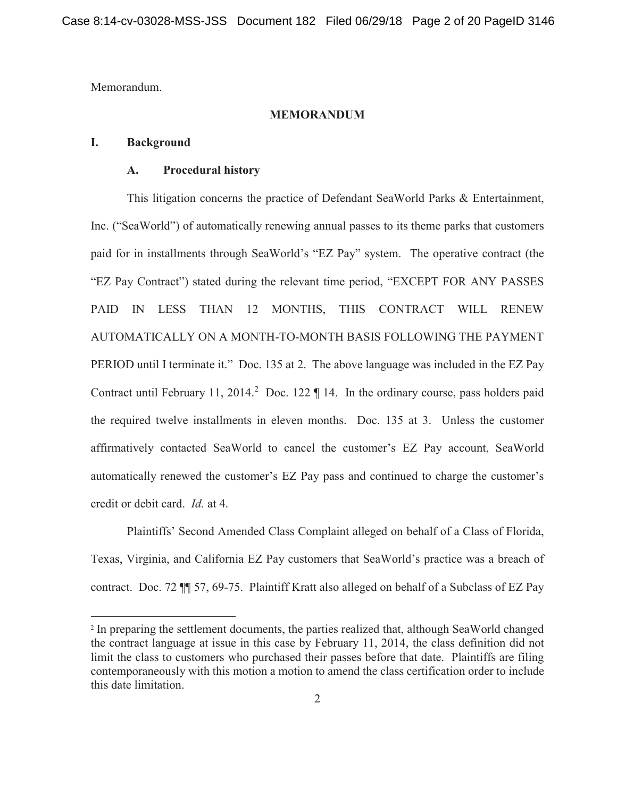Memorandum.

 $\overline{a}$ 

#### **MEMORANDUM**

### **I. Background**

### **A. Procedural history**

 This litigation concerns the practice of Defendant SeaWorld Parks & Entertainment, Inc. ("SeaWorld") of automatically renewing annual passes to its theme parks that customers paid for in installments through SeaWorld's "EZ Pay" system. The operative contract (the "EZ Pay Contract") stated during the relevant time period, "EXCEPT FOR ANY PASSES PAID IN LESS THAN 12 MONTHS, THIS CONTRACT WILL RENEW AUTOMATICALLY ON A MONTH-TO-MONTH BASIS FOLLOWING THE PAYMENT PERIOD until I terminate it." Doc. 135 at 2. The above language was included in the EZ Pay Contract until February 11, 2014.<sup>2</sup> Doc. 122  $\P$  14. In the ordinary course, pass holders paid the required twelve installments in eleven months. Doc. 135 at 3. Unless the customer affirmatively contacted SeaWorld to cancel the customer's EZ Pay account, SeaWorld automatically renewed the customer's EZ Pay pass and continued to charge the customer's credit or debit card. *Id.* at 4.

Plaintiffs' Second Amended Class Complaint alleged on behalf of a Class of Florida, Texas, Virginia, and California EZ Pay customers that SeaWorld's practice was a breach of contract. Doc. 72 ¶¶ 57, 69-75. Plaintiff Kratt also alleged on behalf of a Subclass of EZ Pay

<sup>2</sup> In preparing the settlement documents, the parties realized that, although SeaWorld changed the contract language at issue in this case by February 11, 2014, the class definition did not limit the class to customers who purchased their passes before that date. Plaintiffs are filing contemporaneously with this motion a motion to amend the class certification order to include this date limitation.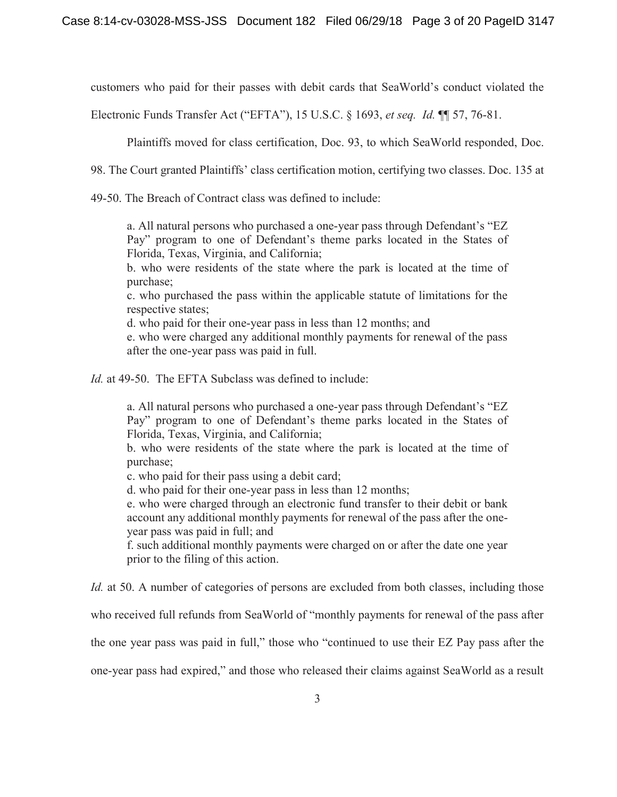customers who paid for their passes with debit cards that SeaWorld's conduct violated the

Electronic Funds Transfer Act ("EFTA"), 15 U.S.C. § 1693, *et seq. Id.* ¶¶ 57, 76-81.

Plaintiffs moved for class certification, Doc. 93, to which SeaWorld responded, Doc.

98. The Court granted Plaintiffs' class certification motion, certifying two classes. Doc. 135 at

49-50. The Breach of Contract class was defined to include:

a. All natural persons who purchased a one-year pass through Defendant's "EZ Pay" program to one of Defendant's theme parks located in the States of Florida, Texas, Virginia, and California;

b. who were residents of the state where the park is located at the time of purchase;

c. who purchased the pass within the applicable statute of limitations for the respective states;

d. who paid for their one-year pass in less than 12 months; and

e. who were charged any additional monthly payments for renewal of the pass after the one-year pass was paid in full.

*Id.* at 49-50. The EFTA Subclass was defined to include:

a. All natural persons who purchased a one-year pass through Defendant's "EZ Pay" program to one of Defendant's theme parks located in the States of Florida, Texas, Virginia, and California;

b. who were residents of the state where the park is located at the time of purchase;

c. who paid for their pass using a debit card;

d. who paid for their one-year pass in less than 12 months;

e. who were charged through an electronic fund transfer to their debit or bank account any additional monthly payments for renewal of the pass after the oneyear pass was paid in full; and

f. such additional monthly payments were charged on or after the date one year prior to the filing of this action.

*Id.* at 50. A number of categories of persons are excluded from both classes, including those

who received full refunds from SeaWorld of "monthly payments for renewal of the pass after

the one year pass was paid in full," those who "continued to use their EZ Pay pass after the

one-year pass had expired," and those who released their claims against SeaWorld as a result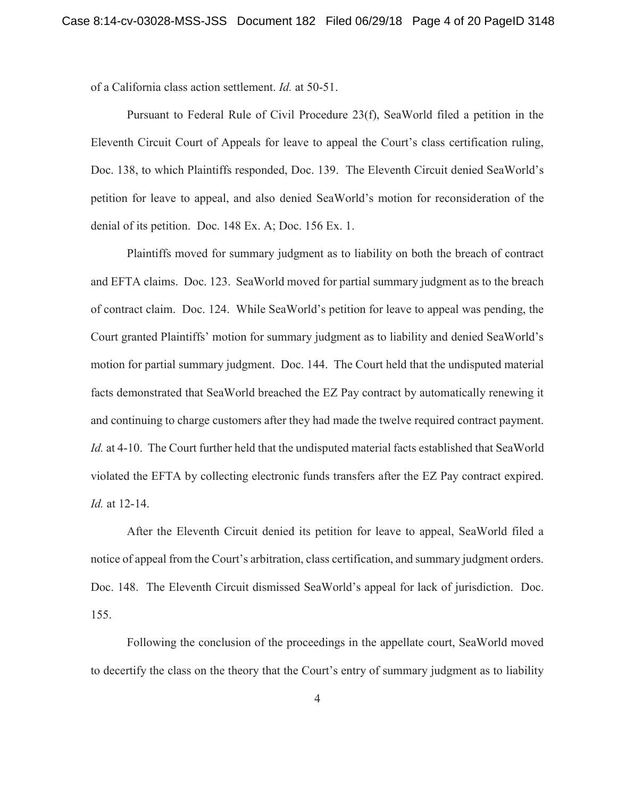of a California class action settlement. *Id.* at 50-51.

 Pursuant to Federal Rule of Civil Procedure 23(f), SeaWorld filed a petition in the Eleventh Circuit Court of Appeals for leave to appeal the Court's class certification ruling, Doc. 138, to which Plaintiffs responded, Doc. 139. The Eleventh Circuit denied SeaWorld's petition for leave to appeal, and also denied SeaWorld's motion for reconsideration of the denial of its petition. Doc. 148 Ex. A; Doc. 156 Ex. 1.

 Plaintiffs moved for summary judgment as to liability on both the breach of contract and EFTA claims. Doc. 123. SeaWorld moved for partial summary judgment as to the breach of contract claim. Doc. 124. While SeaWorld's petition for leave to appeal was pending, the Court granted Plaintiffs' motion for summary judgment as to liability and denied SeaWorld's motion for partial summary judgment. Doc. 144. The Court held that the undisputed material facts demonstrated that SeaWorld breached the EZ Pay contract by automatically renewing it and continuing to charge customers after they had made the twelve required contract payment. *Id.* at 4-10. The Court further held that the undisputed material facts established that SeaWorld violated the EFTA by collecting electronic funds transfers after the EZ Pay contract expired. *Id.* at 12-14.

 After the Eleventh Circuit denied its petition for leave to appeal, SeaWorld filed a notice of appeal from the Court's arbitration, class certification, and summary judgment orders. Doc. 148. The Eleventh Circuit dismissed SeaWorld's appeal for lack of jurisdiction. Doc. 155.

 Following the conclusion of the proceedings in the appellate court, SeaWorld moved to decertify the class on the theory that the Court's entry of summary judgment as to liability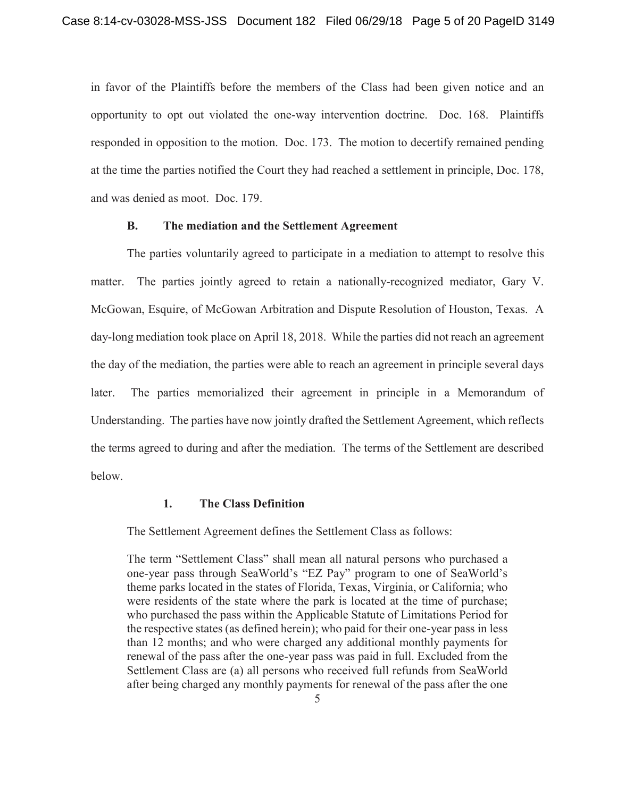in favor of the Plaintiffs before the members of the Class had been given notice and an opportunity to opt out violated the one-way intervention doctrine. Doc. 168. Plaintiffs responded in opposition to the motion. Doc. 173. The motion to decertify remained pending at the time the parties notified the Court they had reached a settlement in principle, Doc. 178, and was denied as moot. Doc. 179.

## **B. The mediation and the Settlement Agreement**

 The parties voluntarily agreed to participate in a mediation to attempt to resolve this matter. The parties jointly agreed to retain a nationally-recognized mediator, Gary V. McGowan, Esquire, of McGowan Arbitration and Dispute Resolution of Houston, Texas. A day-long mediation took place on April 18, 2018. While the parties did not reach an agreement the day of the mediation, the parties were able to reach an agreement in principle several days later. The parties memorialized their agreement in principle in a Memorandum of Understanding. The parties have now jointly drafted the Settlement Agreement, which reflects the terms agreed to during and after the mediation. The terms of the Settlement are described below.

# **1. The Class Definition**

The Settlement Agreement defines the Settlement Class as follows:

The term "Settlement Class" shall mean all natural persons who purchased a one-year pass through SeaWorld's "EZ Pay" program to one of SeaWorld's theme parks located in the states of Florida, Texas, Virginia, or California; who were residents of the state where the park is located at the time of purchase; who purchased the pass within the Applicable Statute of Limitations Period for the respective states (as defined herein); who paid for their one-year pass in less than 12 months; and who were charged any additional monthly payments for renewal of the pass after the one-year pass was paid in full. Excluded from the Settlement Class are (a) all persons who received full refunds from SeaWorld after being charged any monthly payments for renewal of the pass after the one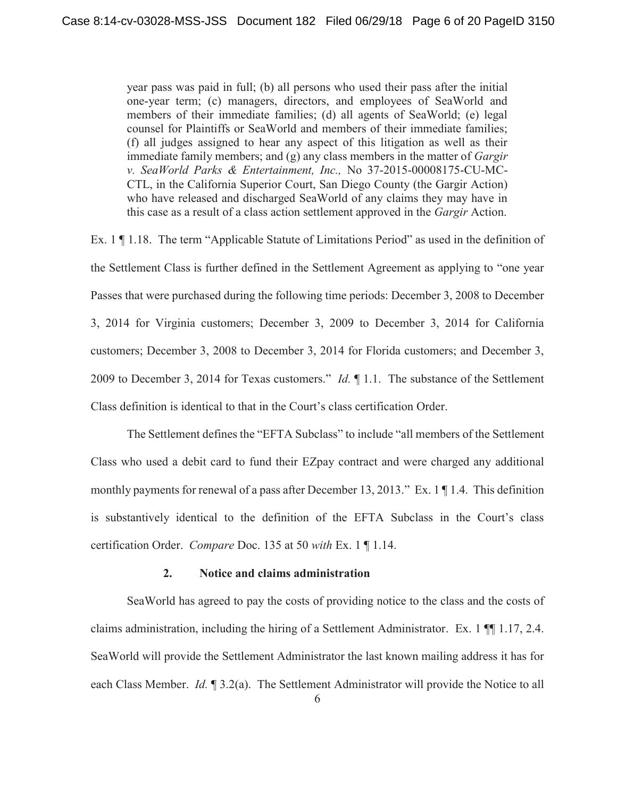year pass was paid in full; (b) all persons who used their pass after the initial one-year term; (c) managers, directors, and employees of SeaWorld and members of their immediate families; (d) all agents of SeaWorld; (e) legal counsel for Plaintiffs or SeaWorld and members of their immediate families; (f) all judges assigned to hear any aspect of this litigation as well as their immediate family members; and (g) any class members in the matter of *Gargir v. SeaWorld Parks & Entertainment, Inc.,* No 37-2015-00008175-CU-MC-CTL, in the California Superior Court, San Diego County (the Gargir Action) who have released and discharged SeaWorld of any claims they may have in this case as a result of a class action settlement approved in the *Gargir* Action.

Ex. 1 ¶ 1.18. The term "Applicable Statute of Limitations Period" as used in the definition of the Settlement Class is further defined in the Settlement Agreement as applying to "one year Passes that were purchased during the following time periods: December 3, 2008 to December 3, 2014 for Virginia customers; December 3, 2009 to December 3, 2014 for California customers; December 3, 2008 to December 3, 2014 for Florida customers; and December 3, 2009 to December 3, 2014 for Texas customers." *Id.* ¶ 1.1. The substance of the Settlement Class definition is identical to that in the Court's class certification Order.

The Settlement defines the "EFTA Subclass" to include "all members of the Settlement Class who used a debit card to fund their EZpay contract and were charged any additional monthly payments for renewal of a pass after December 13, 2013." Ex. 1 ¶ 1.4. This definition is substantively identical to the definition of the EFTA Subclass in the Court's class certification Order. *Compare* Doc. 135 at 50 *with* Ex. 1 ¶ 1.14.

## **2. Notice and claims administration**

 SeaWorld has agreed to pay the costs of providing notice to the class and the costs of claims administration, including the hiring of a Settlement Administrator. Ex. 1 ¶¶ 1.17, 2.4. SeaWorld will provide the Settlement Administrator the last known mailing address it has for each Class Member. *Id.* ¶ 3.2(a). The Settlement Administrator will provide the Notice to all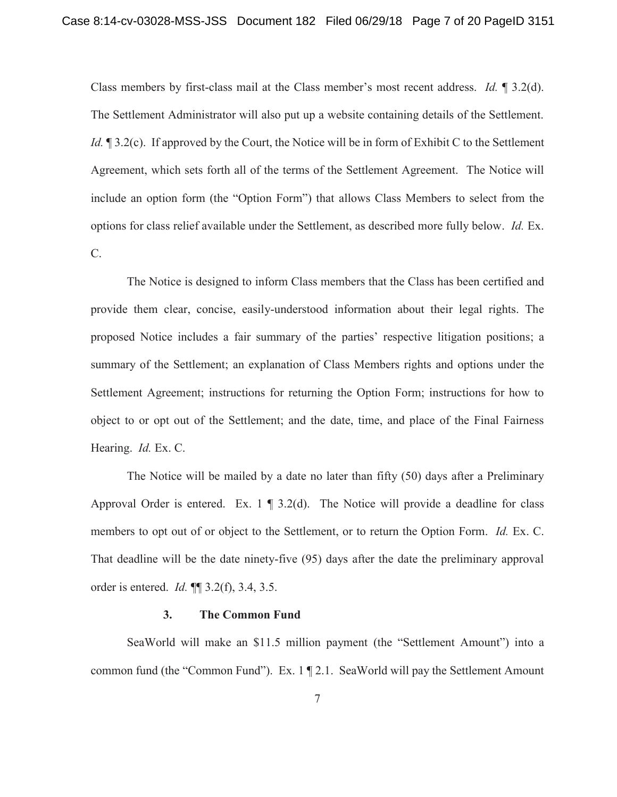Class members by first-class mail at the Class member's most recent address. *Id.* ¶ 3.2(d). The Settlement Administrator will also put up a website containing details of the Settlement. *Id.*  $\mathbb{I}$  3.2(c). If approved by the Court, the Notice will be in form of Exhibit C to the Settlement Agreement, which sets forth all of the terms of the Settlement Agreement. The Notice will include an option form (the "Option Form") that allows Class Members to select from the options for class relief available under the Settlement, as described more fully below. *Id.* Ex. C.

 The Notice is designed to inform Class members that the Class has been certified and provide them clear, concise, easily-understood information about their legal rights. The proposed Notice includes a fair summary of the parties' respective litigation positions; a summary of the Settlement; an explanation of Class Members rights and options under the Settlement Agreement; instructions for returning the Option Form; instructions for how to object to or opt out of the Settlement; and the date, time, and place of the Final Fairness Hearing. *Id.* Ex. C.

 The Notice will be mailed by a date no later than fifty (50) days after a Preliminary Approval Order is entered. Ex.  $1 \nvert 3.2$ (d). The Notice will provide a deadline for class members to opt out of or object to the Settlement, or to return the Option Form. *Id.* Ex. C. That deadline will be the date ninety-five (95) days after the date the preliminary approval order is entered. *Id.* ¶¶ 3.2(f), 3.4, 3.5.

## **3. The Common Fund**

 SeaWorld will make an \$11.5 million payment (the "Settlement Amount") into a common fund (the "Common Fund"). Ex. 1 ¶ 2.1. SeaWorld will pay the Settlement Amount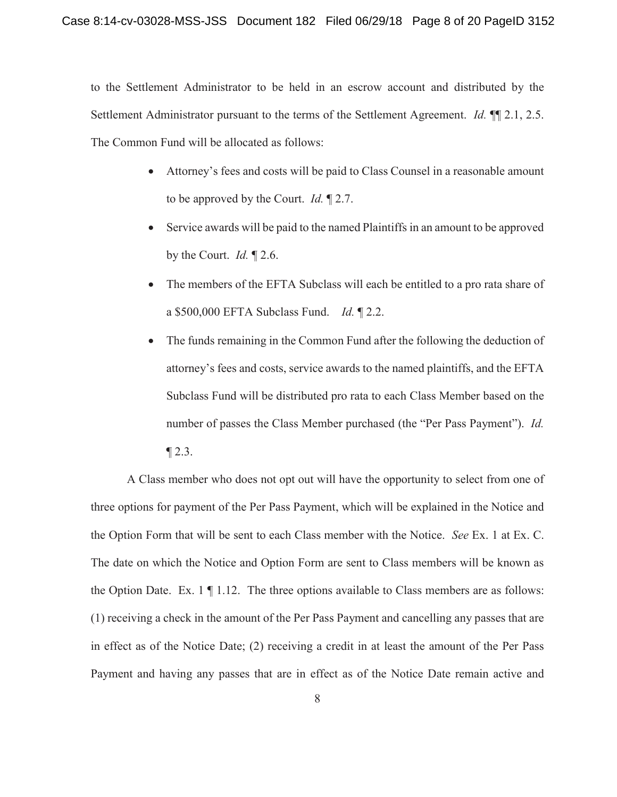to the Settlement Administrator to be held in an escrow account and distributed by the Settlement Administrator pursuant to the terms of the Settlement Agreement. *Id.* ¶¶ 2.1, 2.5. The Common Fund will be allocated as follows:

- Attorney's fees and costs will be paid to Class Counsel in a reasonable amount to be approved by the Court. *Id.* ¶ 2.7.
- $\bullet$  Service awards will be paid to the named Plaintiffs in an amount to be approved by the Court. *Id.* ¶ 2.6.
- The members of the EFTA Subclass will each be entitled to a pro rata share of a \$500,000 EFTA Subclass Fund. *Id.* ¶ 2.2.
- The funds remaining in the Common Fund after the following the deduction of attorney's fees and costs, service awards to the named plaintiffs, and the EFTA Subclass Fund will be distributed pro rata to each Class Member based on the number of passes the Class Member purchased (the "Per Pass Payment"). *Id.*  $\P$  2.3.

 A Class member who does not opt out will have the opportunity to select from one of three options for payment of the Per Pass Payment, which will be explained in the Notice and the Option Form that will be sent to each Class member with the Notice. *See* Ex. 1 at Ex. C. The date on which the Notice and Option Form are sent to Class members will be known as the Option Date. Ex.  $1 \nvert 1.12$ . The three options available to Class members are as follows: (1) receiving a check in the amount of the Per Pass Payment and cancelling any passes that are in effect as of the Notice Date; (2) receiving a credit in at least the amount of the Per Pass Payment and having any passes that are in effect as of the Notice Date remain active and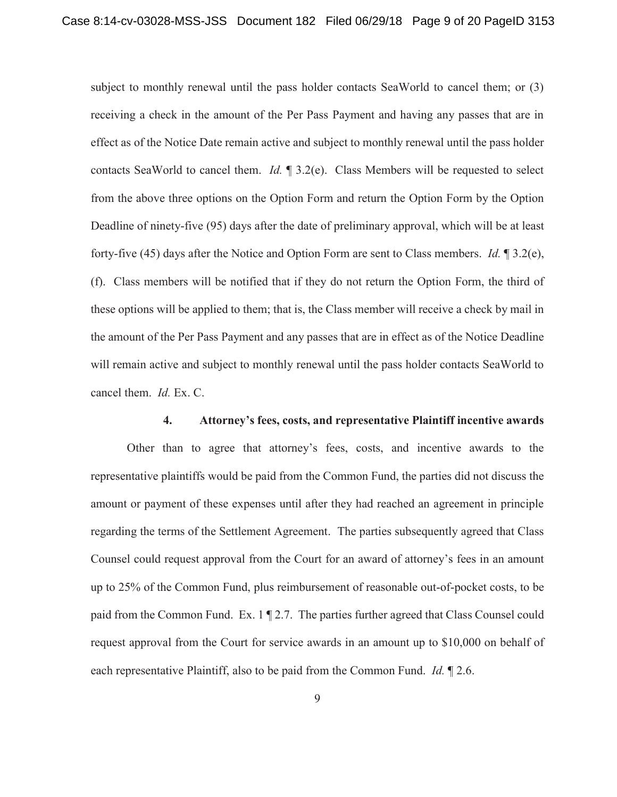subject to monthly renewal until the pass holder contacts SeaWorld to cancel them; or (3) receiving a check in the amount of the Per Pass Payment and having any passes that are in effect as of the Notice Date remain active and subject to monthly renewal until the pass holder contacts SeaWorld to cancel them. *Id.* ¶ 3.2(e). Class Members will be requested to select from the above three options on the Option Form and return the Option Form by the Option Deadline of ninety-five (95) days after the date of preliminary approval, which will be at least forty-five (45) days after the Notice and Option Form are sent to Class members. *Id.* ¶ 3.2(e), (f). Class members will be notified that if they do not return the Option Form, the third of these options will be applied to them; that is, the Class member will receive a check by mail in the amount of the Per Pass Payment and any passes that are in effect as of the Notice Deadline will remain active and subject to monthly renewal until the pass holder contacts SeaWorld to cancel them. *Id.* Ex. C.

### **4. Attorney's fees, costs, and representative Plaintiff incentive awards**

Other than to agree that attorney's fees, costs, and incentive awards to the representative plaintiffs would be paid from the Common Fund, the parties did not discuss the amount or payment of these expenses until after they had reached an agreement in principle regarding the terms of the Settlement Agreement. The parties subsequently agreed that Class Counsel could request approval from the Court for an award of attorney's fees in an amount up to 25% of the Common Fund, plus reimbursement of reasonable out-of-pocket costs, to be paid from the Common Fund. Ex. 1 ¶ 2.7. The parties further agreed that Class Counsel could request approval from the Court for service awards in an amount up to \$10,000 on behalf of each representative Plaintiff, also to be paid from the Common Fund. *Id.* ¶ 2.6.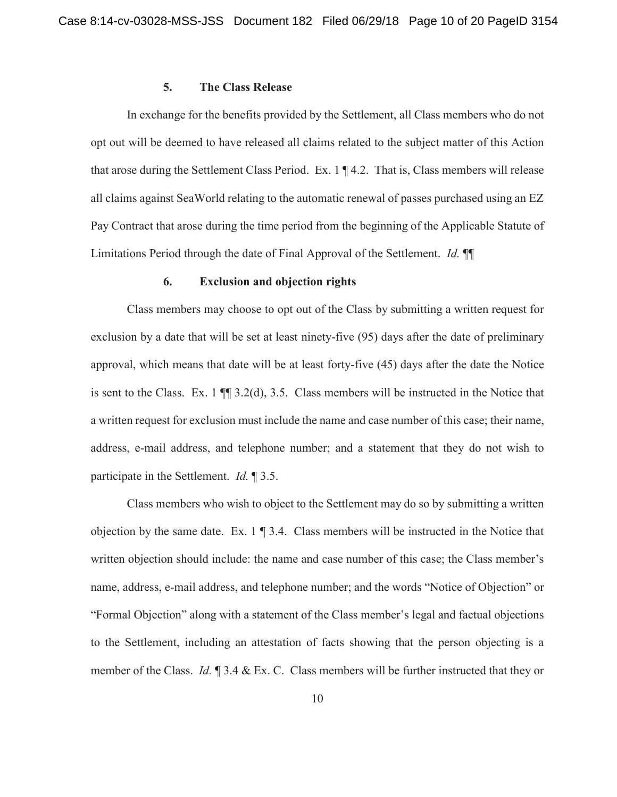#### **5. The Class Release**

 In exchange for the benefits provided by the Settlement, all Class members who do not opt out will be deemed to have released all claims related to the subject matter of this Action that arose during the Settlement Class Period. Ex. 1 ¶ 4.2. That is, Class members will release all claims against SeaWorld relating to the automatic renewal of passes purchased using an EZ Pay Contract that arose during the time period from the beginning of the Applicable Statute of Limitations Period through the date of Final Approval of the Settlement. *Id.* ¶¶

#### **6. Exclusion and objection rights**

 Class members may choose to opt out of the Class by submitting a written request for exclusion by a date that will be set at least ninety-five (95) days after the date of preliminary approval, which means that date will be at least forty-five (45) days after the date the Notice is sent to the Class. Ex. 1 ¶¶ 3.2(d), 3.5. Class members will be instructed in the Notice that a written request for exclusion must include the name and case number of this case; their name, address, e-mail address, and telephone number; and a statement that they do not wish to participate in the Settlement. *Id.* ¶ 3.5.

 Class members who wish to object to the Settlement may do so by submitting a written objection by the same date. Ex. 1 ¶ 3.4. Class members will be instructed in the Notice that written objection should include: the name and case number of this case; the Class member's name, address, e-mail address, and telephone number; and the words "Notice of Objection" or "Formal Objection" along with a statement of the Class member's legal and factual objections to the Settlement, including an attestation of facts showing that the person objecting is a member of the Class. *Id.* ¶ 3.4 & Ex. C. Class members will be further instructed that they or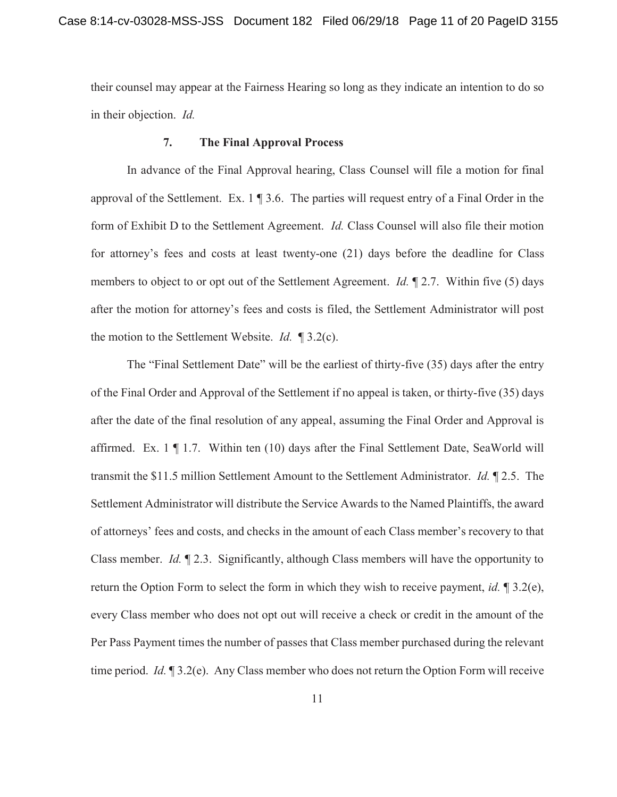their counsel may appear at the Fairness Hearing so long as they indicate an intention to do so in their objection. *Id.* 

## **7. The Final Approval Process**

 In advance of the Final Approval hearing, Class Counsel will file a motion for final approval of the Settlement. Ex.  $1 \nvert 3.6$ . The parties will request entry of a Final Order in the form of Exhibit D to the Settlement Agreement. *Id.* Class Counsel will also file their motion for attorney's fees and costs at least twenty-one (21) days before the deadline for Class members to object to or opt out of the Settlement Agreement. *Id.* ¶ 2.7. Within five (5) days after the motion for attorney's fees and costs is filed, the Settlement Administrator will post the motion to the Settlement Website. *Id.* ¶ 3.2(c).

The "Final Settlement Date" will be the earliest of thirty-five (35) days after the entry of the Final Order and Approval of the Settlement if no appeal is taken, or thirty-five (35) days after the date of the final resolution of any appeal, assuming the Final Order and Approval is affirmed. Ex.  $1 \nvert 1.7$ . Within ten (10) days after the Final Settlement Date, SeaWorld will transmit the \$11.5 million Settlement Amount to the Settlement Administrator. *Id.* ¶ 2.5. The Settlement Administrator will distribute the Service Awards to the Named Plaintiffs, the award of attorneys' fees and costs, and checks in the amount of each Class member's recovery to that Class member. *Id.* ¶ 2.3. Significantly, although Class members will have the opportunity to return the Option Form to select the form in which they wish to receive payment, *id.* ¶ 3.2(e), every Class member who does not opt out will receive a check or credit in the amount of the Per Pass Payment times the number of passes that Class member purchased during the relevant time period. *Id.* ¶ 3.2(e). Any Class member who does not return the Option Form will receive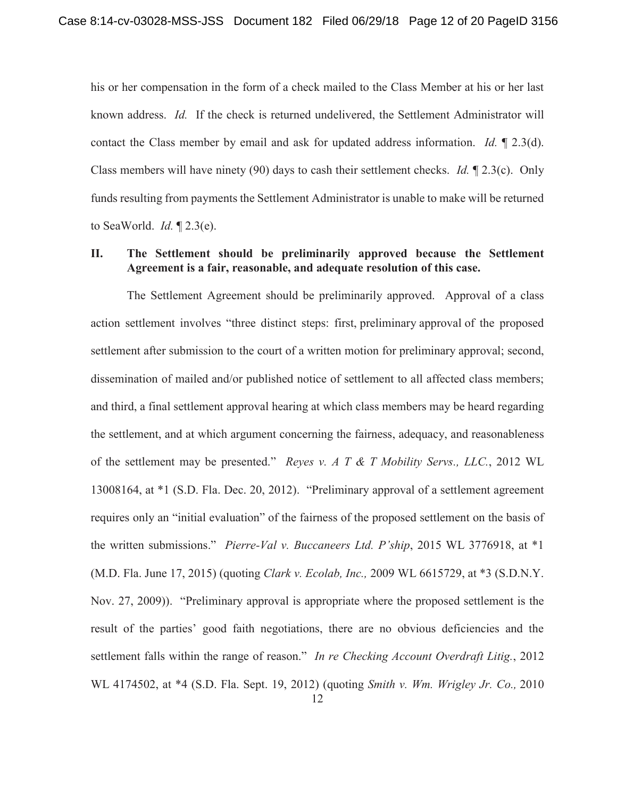his or her compensation in the form of a check mailed to the Class Member at his or her last known address. *Id.* If the check is returned undelivered, the Settlement Administrator will contact the Class member by email and ask for updated address information. *Id.* ¶ 2.3(d). Class members will have ninety (90) days to cash their settlement checks. *Id.* ¶ 2.3(c). Only funds resulting from payments the Settlement Administrator is unable to make will be returned to SeaWorld. *Id.* ¶ 2.3(e).

# **II. The Settlement should be preliminarily approved because the Settlement Agreement is a fair, reasonable, and adequate resolution of this case.**

 The Settlement Agreement should be preliminarily approved. Approval of a class action settlement involves "three distinct steps: first, preliminary approval of the proposed settlement after submission to the court of a written motion for preliminary approval; second, dissemination of mailed and/or published notice of settlement to all affected class members; and third, a final settlement approval hearing at which class members may be heard regarding the settlement, and at which argument concerning the fairness, adequacy, and reasonableness of the settlement may be presented." *Reyes v. A T & T Mobility Servs., LLC.*, 2012 WL 13008164, at \*1 (S.D. Fla. Dec. 20, 2012). "Preliminary approval of a settlement agreement requires only an "initial evaluation" of the fairness of the proposed settlement on the basis of the written submissions." *Pierre-Val v. Buccaneers Ltd. P'ship*, 2015 WL 3776918, at \*1 (M.D. Fla. June 17, 2015) (quoting *Clark v. Ecolab, Inc.,* 2009 WL 6615729, at \*3 (S.D.N.Y. Nov. 27, 2009)). "Preliminary approval is appropriate where the proposed settlement is the result of the parties' good faith negotiations, there are no obvious deficiencies and the settlement falls within the range of reason." *In re Checking Account Overdraft Litig.*, 2012 WL 4174502, at \*4 (S.D. Fla. Sept. 19, 2012) (quoting *Smith v. Wm. Wrigley Jr. Co.,* 2010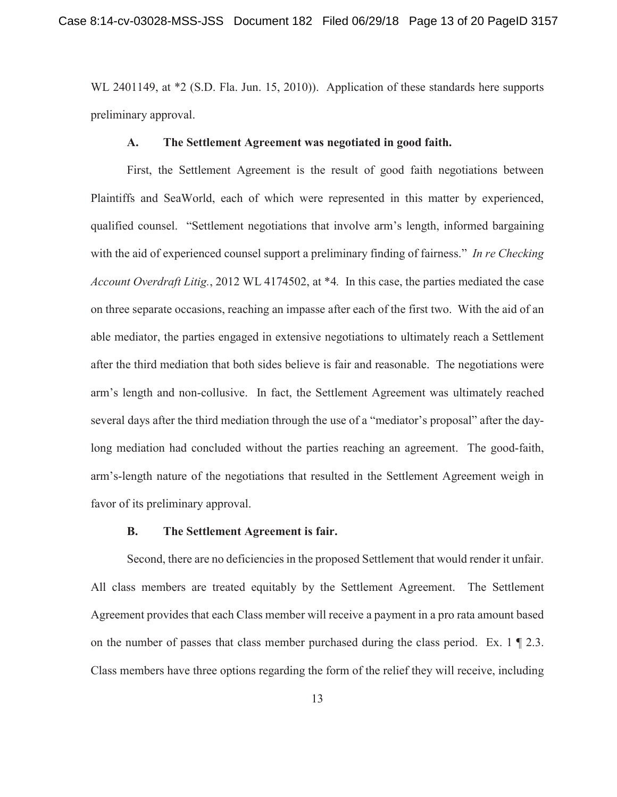WL 2401149, at \*2 (S.D. Fla. Jun. 15, 2010)). Application of these standards here supports preliminary approval.

## **A. The Settlement Agreement was negotiated in good faith.**

 First, the Settlement Agreement is the result of good faith negotiations between Plaintiffs and SeaWorld, each of which were represented in this matter by experienced, qualified counsel. "Settlement negotiations that involve arm's length, informed bargaining with the aid of experienced counsel support a preliminary finding of fairness." *In re Checking Account Overdraft Litig.*, 2012 WL 4174502, at \*4*.* In this case, the parties mediated the case on three separate occasions, reaching an impasse after each of the first two. With the aid of an able mediator, the parties engaged in extensive negotiations to ultimately reach a Settlement after the third mediation that both sides believe is fair and reasonable. The negotiations were arm's length and non-collusive. In fact, the Settlement Agreement was ultimately reached several days after the third mediation through the use of a "mediator's proposal" after the daylong mediation had concluded without the parties reaching an agreement. The good-faith, arm's-length nature of the negotiations that resulted in the Settlement Agreement weigh in favor of its preliminary approval.

### **B. The Settlement Agreement is fair.**

 Second, there are no deficiencies in the proposed Settlement that would render it unfair. All class members are treated equitably by the Settlement Agreement. The Settlement Agreement provides that each Class member will receive a payment in a pro rata amount based on the number of passes that class member purchased during the class period. Ex. 1 ¶ 2.3. Class members have three options regarding the form of the relief they will receive, including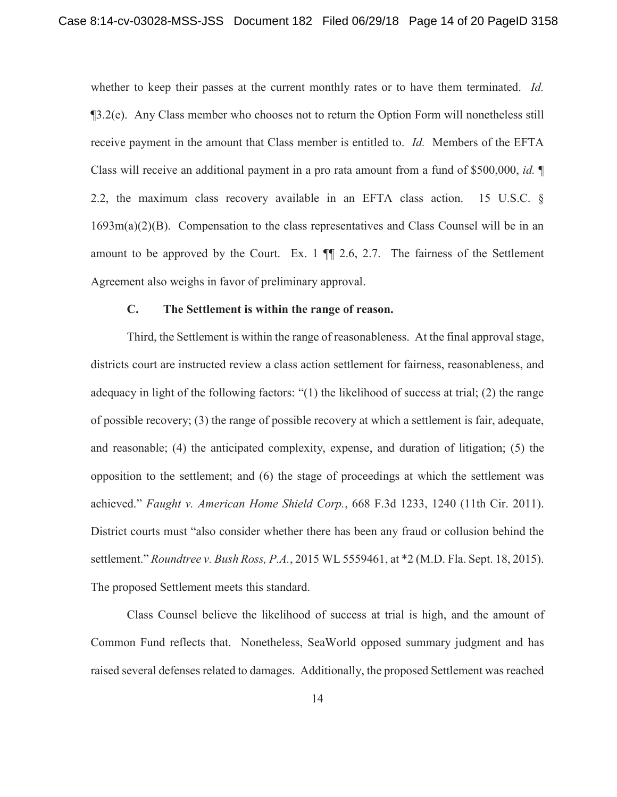whether to keep their passes at the current monthly rates or to have them terminated. *Id.*  $\mathcal{B}(3.2(\epsilon))$ . Any Class member who chooses not to return the Option Form will nonetheless still receive payment in the amount that Class member is entitled to. *Id.* Members of the EFTA Class will receive an additional payment in a pro rata amount from a fund of \$500,000, *id.* ¶ 2.2, the maximum class recovery available in an EFTA class action. 15 U.S.C. §  $1693m(a)(2)(B)$ . Compensation to the class representatives and Class Counsel will be in an amount to be approved by the Court. Ex.  $1 \parallel 2.6$ , 2.7. The fairness of the Settlement Agreement also weighs in favor of preliminary approval.

## **C. The Settlement is within the range of reason.**

Third, the Settlement is within the range of reasonableness. At the final approval stage, districts court are instructed review a class action settlement for fairness, reasonableness, and adequacy in light of the following factors: "(1) the likelihood of success at trial; (2) the range of possible recovery; (3) the range of possible recovery at which a settlement is fair, adequate, and reasonable; (4) the anticipated complexity, expense, and duration of litigation; (5) the opposition to the settlement; and (6) the stage of proceedings at which the settlement was achieved." *Faught v. American Home Shield Corp.*, 668 F.3d 1233, 1240 (11th Cir. 2011). District courts must "also consider whether there has been any fraud or collusion behind the settlement." *Roundtree v. Bush Ross, P.A.*, 2015 WL 5559461, at \*2 (M.D. Fla. Sept. 18, 2015). The proposed Settlement meets this standard.

Class Counsel believe the likelihood of success at trial is high, and the amount of Common Fund reflects that. Nonetheless, SeaWorld opposed summary judgment and has raised several defenses related to damages. Additionally, the proposed Settlement was reached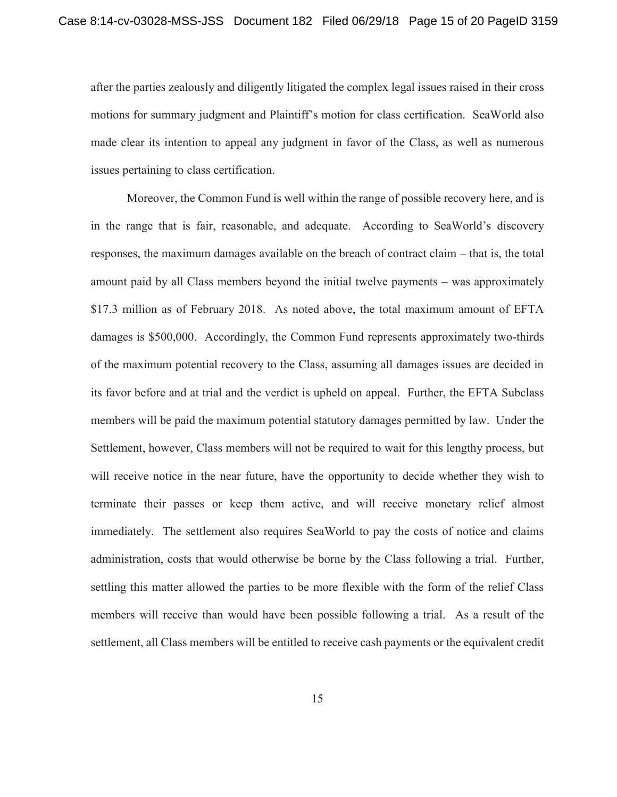after the parties zealously and diligently litigated the complex legal issues raised in their cross motions for summary judgment and Plaintiff's motion for class certification. SeaWorld also made clear its intention to appeal any judgment in favor of the Class, as well as numerous issues pertaining to class certification.

 Moreover, the Common Fund is well within the range of possible recovery here, and is in the range that is fair, reasonable, and adequate. According to SeaWorld's discovery responses, the maximum damages available on the breach of contract claim – that is, the total amount paid by all Class members beyond the initial twelve payments – was approximately \$17.3 million as of February 2018. As noted above, the total maximum amount of EFTA damages is \$500,000. Accordingly, the Common Fund represents approximately two-thirds of the maximum potential recovery to the Class, assuming all damages issues are decided in its favor before and at trial and the verdict is upheld on appeal. Further, the EFTA Subclass members will be paid the maximum potential statutory damages permitted by law. Under the Settlement, however, Class members will not be required to wait for this lengthy process, but will receive notice in the near future, have the opportunity to decide whether they wish to terminate their passes or keep them active, and will receive monetary relief almost immediately. The settlement also requires SeaWorld to pay the costs of notice and claims administration, costs that would otherwise be borne by the Class following a trial. Further, settling this matter allowed the parties to be more flexible with the form of the relief Class members will receive than would have been possible following a trial. As a result of the settlement, all Class members will be entitled to receive cash payments or the equivalent credit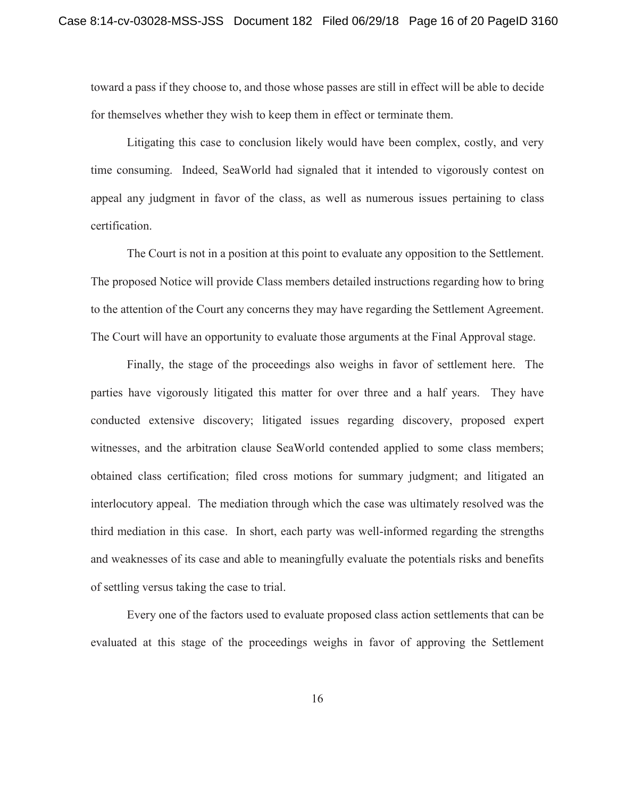toward a pass if they choose to, and those whose passes are still in effect will be able to decide for themselves whether they wish to keep them in effect or terminate them.

 Litigating this case to conclusion likely would have been complex, costly, and very time consuming. Indeed, SeaWorld had signaled that it intended to vigorously contest on appeal any judgment in favor of the class, as well as numerous issues pertaining to class certification.

The Court is not in a position at this point to evaluate any opposition to the Settlement. The proposed Notice will provide Class members detailed instructions regarding how to bring to the attention of the Court any concerns they may have regarding the Settlement Agreement. The Court will have an opportunity to evaluate those arguments at the Final Approval stage.

Finally, the stage of the proceedings also weighs in favor of settlement here. The parties have vigorously litigated this matter for over three and a half years. They have conducted extensive discovery; litigated issues regarding discovery, proposed expert witnesses, and the arbitration clause SeaWorld contended applied to some class members; obtained class certification; filed cross motions for summary judgment; and litigated an interlocutory appeal. The mediation through which the case was ultimately resolved was the third mediation in this case. In short, each party was well-informed regarding the strengths and weaknesses of its case and able to meaningfully evaluate the potentials risks and benefits of settling versus taking the case to trial.

Every one of the factors used to evaluate proposed class action settlements that can be evaluated at this stage of the proceedings weighs in favor of approving the Settlement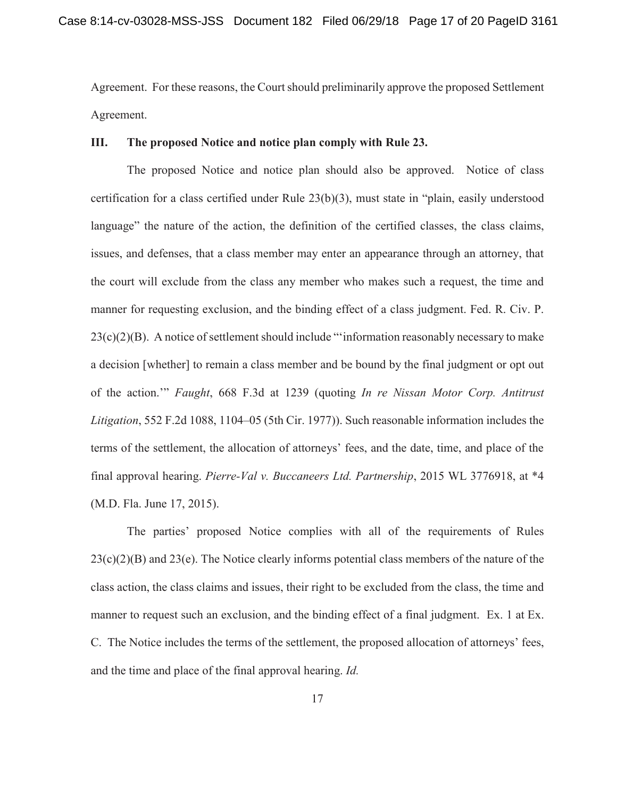Agreement. For these reasons, the Court should preliminarily approve the proposed Settlement Agreement.

## **III. The proposed Notice and notice plan comply with Rule 23.**

 The proposed Notice and notice plan should also be approved. Notice of class certification for a class certified under Rule 23(b)(3), must state in "plain, easily understood language" the nature of the action, the definition of the certified classes, the class claims, issues, and defenses, that a class member may enter an appearance through an attorney, that the court will exclude from the class any member who makes such a request, the time and manner for requesting exclusion, and the binding effect of a class judgment. Fed. R. Civ. P.  $23(c)(2)(B)$ . A notice of settlement should include "information reasonably necessary to make a decision [whether] to remain a class member and be bound by the final judgment or opt out of the action.'" *Faught*, 668 F.3d at 1239 (quoting *In re Nissan Motor Corp. Antitrust Litigation*, 552 F.2d 1088, 1104–05 (5th Cir. 1977)). Such reasonable information includes the terms of the settlement, the allocation of attorneys' fees, and the date, time, and place of the final approval hearing. *Pierre-Val v. Buccaneers Ltd. Partnership*, 2015 WL 3776918, at \*4 (M.D. Fla. June 17, 2015).

The parties' proposed Notice complies with all of the requirements of Rules  $23(c)(2)(B)$  and  $23(e)$ . The Notice clearly informs potential class members of the nature of the class action, the class claims and issues, their right to be excluded from the class, the time and manner to request such an exclusion, and the binding effect of a final judgment. Ex. 1 at Ex. C. The Notice includes the terms of the settlement, the proposed allocation of attorneys' fees, and the time and place of the final approval hearing. *Id.*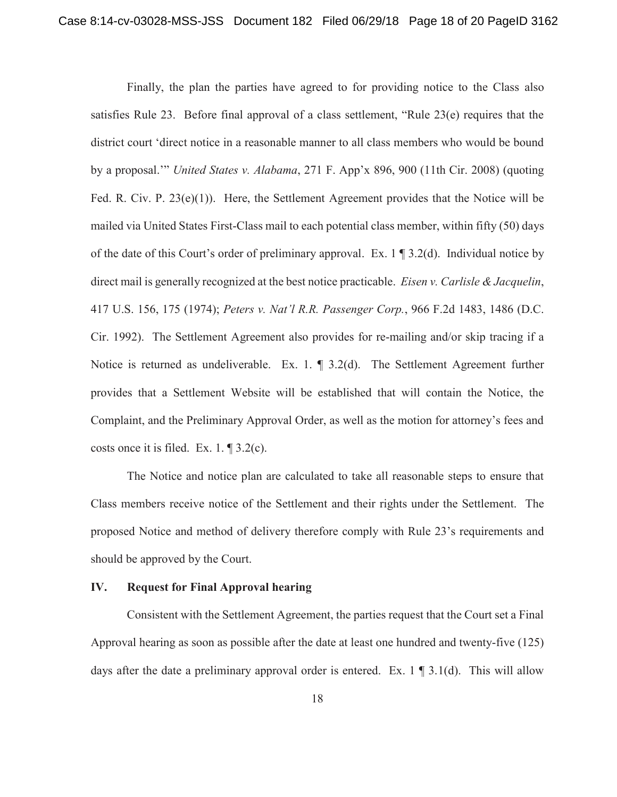Finally, the plan the parties have agreed to for providing notice to the Class also satisfies Rule 23. Before final approval of a class settlement, "Rule 23(e) requires that the district court 'direct notice in a reasonable manner to all class members who would be bound by a proposal.'" *United States v. Alabama*, 271 F. App'x 896, 900 (11th Cir. 2008) (quoting Fed. R. Civ. P. 23(e)(1)).Here, the Settlement Agreement provides that the Notice will be mailed via United States First-Class mail to each potential class member, within fifty (50) days of the date of this Court's order of preliminary approval. Ex. 1 ¶ 3.2(d). Individual notice by direct mail is generally recognized at the best notice practicable. *Eisen v. Carlisle & Jacquelin*, 417 U.S. 156, 175 (1974); *Peters v. Nat'l R.R. Passenger Corp.*, 966 F.2d 1483, 1486 (D.C. Cir. 1992). The Settlement Agreement also provides for re-mailing and/or skip tracing if a Notice is returned as undeliverable. Ex. 1. ¶ 3.2(d). The Settlement Agreement further provides that a Settlement Website will be established that will contain the Notice, the Complaint, and the Preliminary Approval Order, as well as the motion for attorney's fees and costs once it is filed. Ex. 1. ¶ 3.2(c).

 The Notice and notice plan are calculated to take all reasonable steps to ensure that Class members receive notice of the Settlement and their rights under the Settlement. The proposed Notice and method of delivery therefore comply with Rule 23's requirements and should be approved by the Court.

## **IV. Request for Final Approval hearing**

Consistent with the Settlement Agreement, the parties request that the Court set a Final Approval hearing as soon as possible after the date at least one hundred and twenty-five (125) days after the date a preliminary approval order is entered. Ex.  $1 \nvert 3.1$  (d). This will allow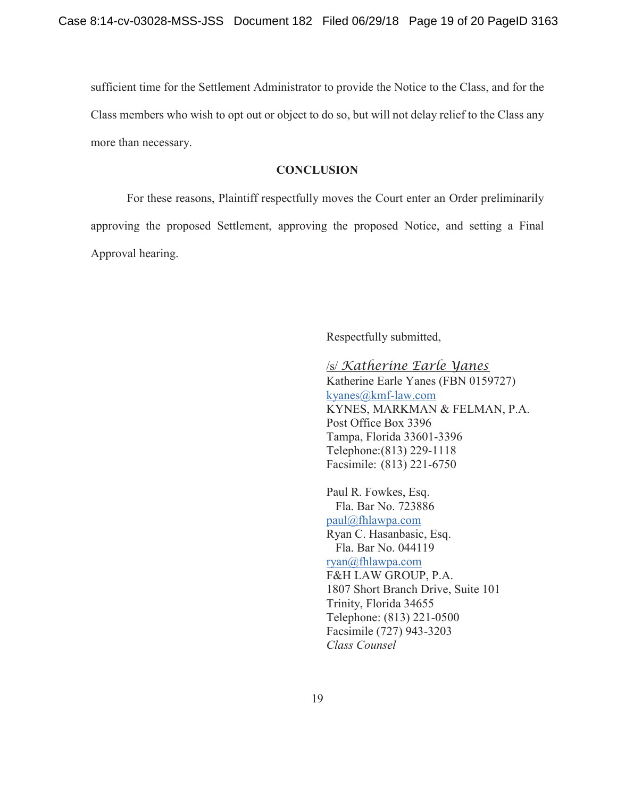sufficient time for the Settlement Administrator to provide the Notice to the Class, and for the Class members who wish to opt out or object to do so, but will not delay relief to the Class any more than necessary.

#### **CONCLUSION**

 For these reasons, Plaintiff respectfully moves the Court enter an Order preliminarily approving the proposed Settlement, approving the proposed Notice, and setting a Final Approval hearing.

Respectfully submitted,

/s/ *Katherine Earle Yanes* Katherine Earle Yanes (FBN 0159727) kyanes@kmf-law.com KYNES, MARKMAN & FELMAN, P.A. Post Office Box 3396 Tampa, Florida 33601-3396 Telephone:(813) 229-1118 Facsimile: (813) 221-6750

Paul R. Fowkes, Esq. Fla. Bar No. 723886 paul@fhlawpa.com Ryan C. Hasanbasic, Esq. Fla. Bar No. 044119 ryan@fhlawpa.com F&H LAW GROUP, P.A. 1807 Short Branch Drive, Suite 101 Trinity, Florida 34655 Telephone: (813) 221-0500 Facsimile (727) 943-3203 *Class Counsel*